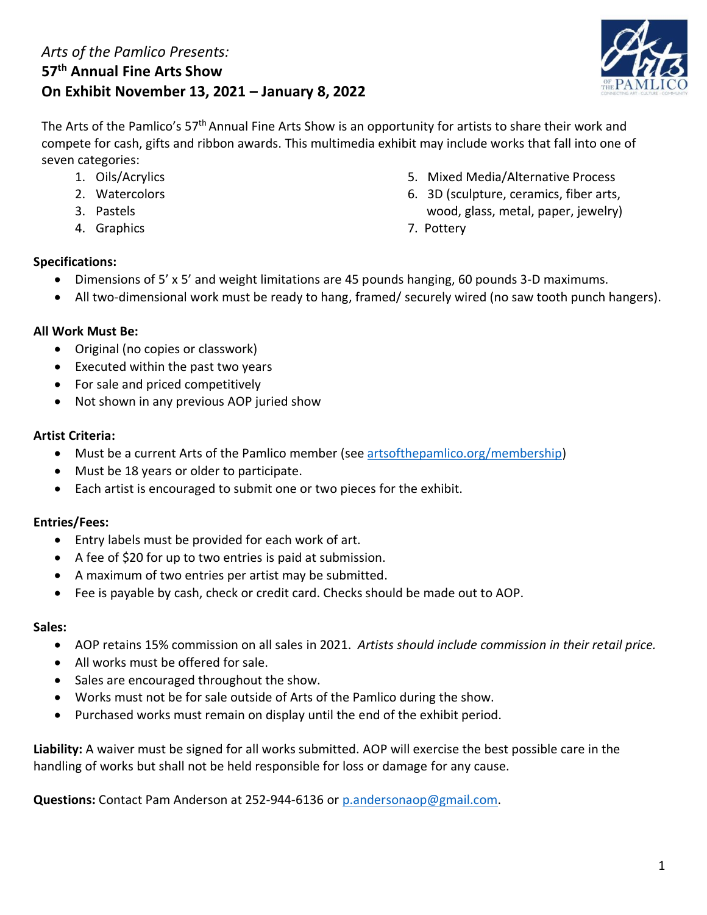# *Arts of the Pamlico Presents:*  **57th Annual Fine Arts Show On Exhibit November 13, 2021 – January 8, 2022**



The Arts of the Pamlico's 57<sup>th</sup> Annual Fine Arts Show is an opportunity for artists to share their work and compete for cash, gifts and ribbon awards. This multimedia exhibit may include works that fall into one of seven categories:

- 
- 
- 
- 4. Graphics 7. Pottery
- 1. Oils/Acrylics 5. Mixed Media/Alternative Process
- 2. Watercolors 6. 3D (sculpture, ceramics, fiber arts, 3. Pastels wood, glass, metal, paper, jewelry)
	-

# **Specifications:**

- Dimensions of 5' x 5' and weight limitations are 45 pounds hanging, 60 pounds 3-D maximums.
- All two-dimensional work must be ready to hang, framed/ securely wired (no saw tooth punch hangers).

# **All Work Must Be:**

- Original (no copies or classwork)
- Executed within the past two years
- For sale and priced competitively
- Not shown in any previous AOP juried show

# **Artist Criteria:**

- Must be a current Arts of the Pamlico member (see [artsofthepamlico.org/membership\)](http://artsofthepamlico.org/membership)
- Must be 18 years or older to participate.
- Each artist is encouraged to submit one or two pieces for the exhibit.

# **Entries/Fees:**

- Entry labels must be provided for each work of art.
- A fee of \$20 for up to two entries is paid at submission.
- A maximum of two entries per artist may be submitted.
- Fee is payable by cash, check or credit card. Checks should be made out to AOP.

#### **Sales:**

- AOP retains 15% commission on all sales in 2021. *Artists should include commission in their retail price.*
- All works must be offered for sale.
- Sales are encouraged throughout the show.
- Works must not be for sale outside of Arts of the Pamlico during the show.
- Purchased works must remain on display until the end of the exhibit period.

**Liability:** A waiver must be signed for all works submitted. AOP will exercise the best possible care in the handling of works but shall not be held responsible for loss or damage for any cause.

**Questions:** Contact Pam Anderson at 252-944-6136 or [p.andersonaop@gmail.com.](mailto:p.andersonaop@gmail.com?subject=2021%20Photography%20Competition)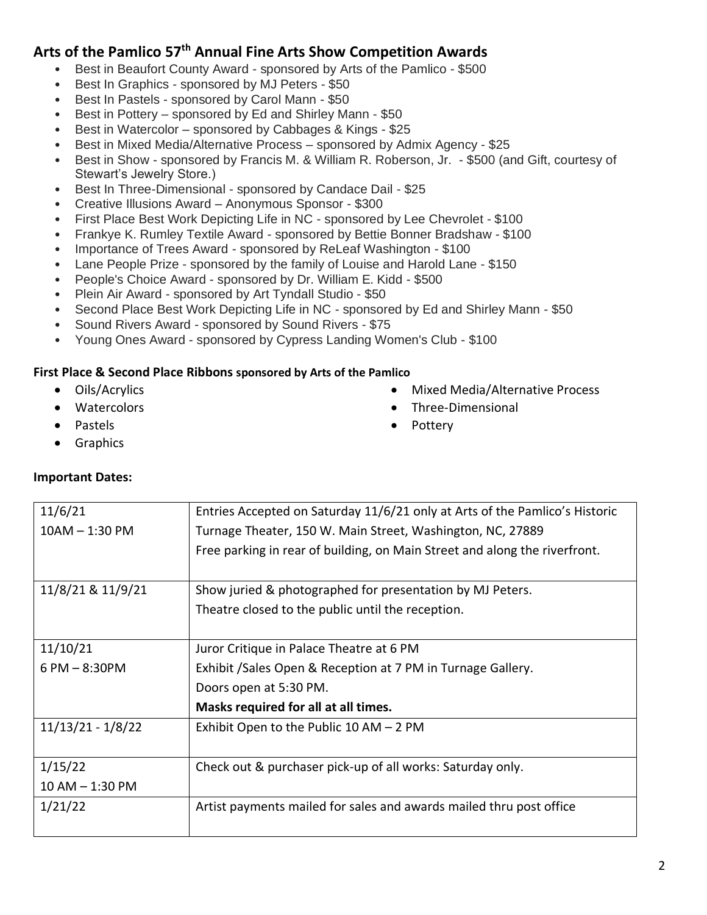# **Arts of the Pamlico 57th Annual Fine Arts Show Competition Awards**

- Best in Beaufort County Award sponsored by Arts of the Pamlico \$500
- Best In Graphics sponsored by MJ Peters \$50
- Best In Pastels sponsored by Carol Mann \$50
- Best in Pottery sponsored by Ed and Shirley Mann \$50
- Best in Watercolor sponsored by Cabbages & Kings \$25
- Best in Mixed Media/Alternative Process sponsored by Admix Agency \$25
- Best in Show sponsored by Francis M. & William R. Roberson, Jr. \$500 (and Gift, courtesy of Stewart's Jewelry Store.)
- Best In Three-Dimensional sponsored by Candace Dail \$25
- Creative Illusions Award Anonymous Sponsor \$300
- First Place Best Work Depicting Life in NC sponsored by Lee Chevrolet \$100
- Frankye K. Rumley Textile Award sponsored by Bettie Bonner Bradshaw \$100
- Importance of Trees Award sponsored by ReLeaf Washington \$100
- Lane People Prize sponsored by the family of Louise and Harold Lane \$150
- People's Choice Award sponsored by Dr. William E. Kidd \$500
- Plein Air Award sponsored by Art Tyndall Studio \$50
- Second Place Best Work Depicting Life in NC sponsored by Ed and Shirley Mann \$50
- Sound Rivers Award sponsored by Sound Rivers \$75
- Young Ones Award sponsored by Cypress Landing Women's Club \$100

#### **First Place & Second Place Ribbons sponsored by Arts of the Pamlico**

- Oils/Acrylics
- Watercolors
- Pastels
- **Graphics**

#### **Important Dates:**

• Pottery

• Three-Dimensional

• Mixed Media/Alternative Process

| 11/6/21             | Entries Accepted on Saturday 11/6/21 only at Arts of the Pamlico's Historic |  |  |
|---------------------|-----------------------------------------------------------------------------|--|--|
| $10AM - 1:30 PM$    | Turnage Theater, 150 W. Main Street, Washington, NC, 27889                  |  |  |
|                     | Free parking in rear of building, on Main Street and along the riverfront.  |  |  |
|                     |                                                                             |  |  |
| 11/8/21 & 11/9/21   | Show juried & photographed for presentation by MJ Peters.                   |  |  |
|                     | Theatre closed to the public until the reception.                           |  |  |
|                     |                                                                             |  |  |
| 11/10/21            | Juror Critique in Palace Theatre at 6 PM                                    |  |  |
| $6$ PM $-$ 8:30PM   | Exhibit / Sales Open & Reception at 7 PM in Turnage Gallery.                |  |  |
|                     | Doors open at 5:30 PM.                                                      |  |  |
|                     | Masks required for all at all times.                                        |  |  |
| $11/13/21 - 1/8/22$ | Exhibit Open to the Public $10 AM - 2 PM$                                   |  |  |
|                     |                                                                             |  |  |
| 1/15/22             | Check out & purchaser pick-up of all works: Saturday only.                  |  |  |
| $10 AM - 1:30 PM$   |                                                                             |  |  |
| 1/21/22             | Artist payments mailed for sales and awards mailed thru post office         |  |  |
|                     |                                                                             |  |  |